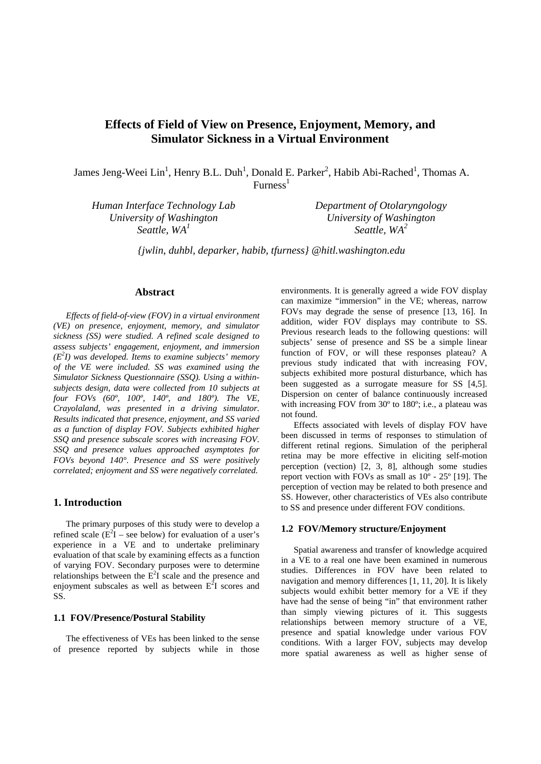# **Effects of Field of View on Presence, Enjoyment, Memory, and Simulator Sickness in a Virtual Environment**

James Jeng-Weei Lin<sup>1</sup>, Henry B.L. Duh<sup>1</sup>, Donald E. Parker<sup>2</sup>, Habib Abi-Rached<sup>1</sup>, Thomas A.  $Furness<sup>1</sup>$ 

*Human Interface Technology Lab University of Washington Seattle, WA1*

*Department of Otolaryngology University of Washington Seattle, WA2*

*{jwlin, duhbl, deparker, habib, tfurness} @hitl.washington.edu*

### **Abstract**

*Effects of field-of-view (FOV) in a virtual environment (VE) on presence, enjoyment, memory, and simulator sickness (SS) were studied. A refined scale designed to assess subjects' engagement, enjoyment, and immersion (E2 I) was developed. Items to examine subjects' memory of the VE were included. SS was examined using the Simulator Sickness Questionnaire (SSQ). Using a withinsubjects design, data were collected from 10 subjects at four FOVs (60º, 100º, 140º, and 180º). The VE, Crayolaland, was presented in a driving simulator. Results indicated that presence, enjoyment, and SS varied as a function of display FOV. Subjects exhibited higher SSQ and presence subscale scores with increasing FOV. SSQ and presence values approached asymptotes for FOVs beyond 140°. Presence and SS were positively correlated; enjoyment and SS were negatively correlated.* 

# **1. Introduction**

The primary purposes of this study were to develop a refined scale  $(E^2I - \text{see below})$  for evaluation of a user's experience in a VE and to undertake preliminary evaluation of that scale by examining effects as a function of varying FOV. Secondary purposes were to determine relationships between the  $E^2I$  scale and the presence and enjoyment subscales as well as between  $E^2I$  scores and SS.

#### **1.1 FOV/Presence/Postural Stability**

The effectiveness of VEs has been linked to the sense of presence reported by subjects while in those

environments. It is generally agreed a wide FOV display can maximize "immersion" in the VE; whereas, narrow FOVs may degrade the sense of presence [13, 16]. In addition, wider FOV displays may contribute to SS. Previous research leads to the following questions: will subjects' sense of presence and SS be a simple linear function of FOV, or will these responses plateau? A previous study indicated that with increasing FOV, subjects exhibited more postural disturbance, which has been suggested as a surrogate measure for SS [4,5]. Dispersion on center of balance continuously increased with increasing FOV from 30<sup>°</sup> to 180<sup>°</sup>; i.e., a plateau was not found.

Effects associated with levels of display FOV have been discussed in terms of responses to stimulation of different retinal regions. Simulation of the peripheral retina may be more effective in eliciting self-motion perception (vection) [2, 3, 8], although some studies report vection with FOVs as small as 10º - 25º [19]. The perception of vection may be related to both presence and SS. However, other characteristics of VEs also contribute to SS and presence under different FOV conditions.

#### **1.2 FOV/Memory structure/Enjoyment**

Spatial awareness and transfer of knowledge acquired in a VE to a real one have been examined in numerous studies. Differences in FOV have been related to navigation and memory differences [1, 11, 20]. It is likely subjects would exhibit better memory for a VE if they have had the sense of being "in" that environment rather than simply viewing pictures of it. This suggests relationships between memory structure of a VE, presence and spatial knowledge under various FOV conditions. With a larger FOV, subjects may develop more spatial awareness as well as higher sense of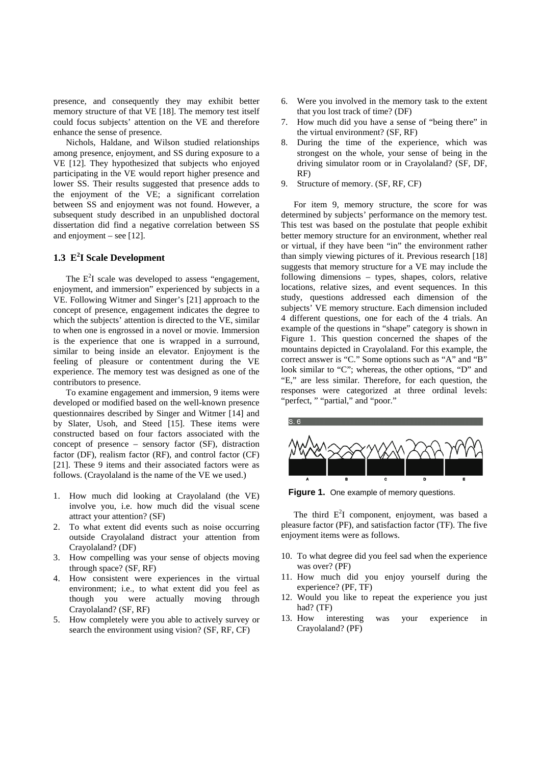presence, and consequently they may exhibit better memory structure of that VE [18]. The memory test itself could focus subjects' attention on the VE and therefore enhance the sense of presence.

Nichols, Haldane, and Wilson studied relationships among presence, enjoyment, and SS during exposure to a VE [12]. They hypothesized that subjects who enjoyed participating in the VE would report higher presence and lower SS. Their results suggested that presence adds to the enjoyment of the VE; a significant correlation between SS and enjoyment was not found. However, a subsequent study described in an unpublished doctoral dissertation did find a negative correlation between SS and enjoyment – see  $[12]$ .

# **1.3 E<sup>2</sup> I Scale Development**

The  $E^2I$  scale was developed to assess "engagement, enjoyment, and immersion" experienced by subjects in a VE. Following Witmer and Singer's [21] approach to the concept of presence, engagement indicates the degree to which the subjects' attention is directed to the VE, similar to when one is engrossed in a novel or movie. Immersion is the experience that one is wrapped in a surround, similar to being inside an elevator. Enjoyment is the feeling of pleasure or contentment during the VE experience. The memory test was designed as one of the contributors to presence.

To examine engagement and immersion, 9 items were developed or modified based on the well-known presence questionnaires described by Singer and Witmer [14] and by Slater, Usoh, and Steed [15]. These items were constructed based on four factors associated with the concept of presence – sensory factor (SF), distraction factor (DF), realism factor (RF), and control factor (CF) [21]. These 9 items and their associated factors were as follows. (Crayolaland is the name of the VE we used.)

- 1. How much did looking at Crayolaland (the VE) involve you, i.e. how much did the visual scene attract your attention? (SF)
- 2. To what extent did events such as noise occurring outside Crayolaland distract your attention from Crayolaland? (DF)
- 3. How compelling was your sense of objects moving through space? (SF, RF)
- 4. How consistent were experiences in the virtual environment; i.e., to what extent did you feel as though you were actually moving through Crayolaland? (SF, RF)
- 5. How completely were you able to actively survey or search the environment using vision? (SF, RF, CF)
- 6. Were you involved in the memory task to the extent that you lost track of time? (DF)
- 7. How much did you have a sense of "being there" in the virtual environment? (SF, RF)
- 8. During the time of the experience, which was strongest on the whole, your sense of being in the driving simulator room or in Crayolaland? (SF, DF, RF)
- 9. Structure of memory. (SF, RF, CF)

For item 9, memory structure, the score for was determined by subjects' performance on the memory test. This test was based on the postulate that people exhibit better memory structure for an environment, whether real or virtual, if they have been "in" the environment rather than simply viewing pictures of it. Previous research [18] suggests that memory structure for a VE may include the following dimensions – types, shapes, colors, relative locations, relative sizes, and event sequences. In this study, questions addressed each dimension of the subjects' VE memory structure. Each dimension included 4 different questions, one for each of the 4 trials. An example of the questions in "shape" category is shown in Figure 1. This question concerned the shapes of the mountains depicted in Crayolaland. For this example, the correct answer is "C." Some options such as "A" and "B" look similar to "C"; whereas, the other options, "D" and "E," are less similar. Therefore, for each question, the responses were categorized at three ordinal levels: "perfect, " "partial," and "poor."



**Figure 1.** One example of memory questions.

The third  $E^2I$  component, enjoyment, was based a pleasure factor (PF), and satisfaction factor (TF). The five enjoyment items were as follows.

- 10. To what degree did you feel sad when the experience was over? (PF)
- 11. How much did you enjoy yourself during the experience? (PF, TF)
- 12. Would you like to repeat the experience you just had? (TF)
- 13. How interesting was your experience in Crayolaland? (PF)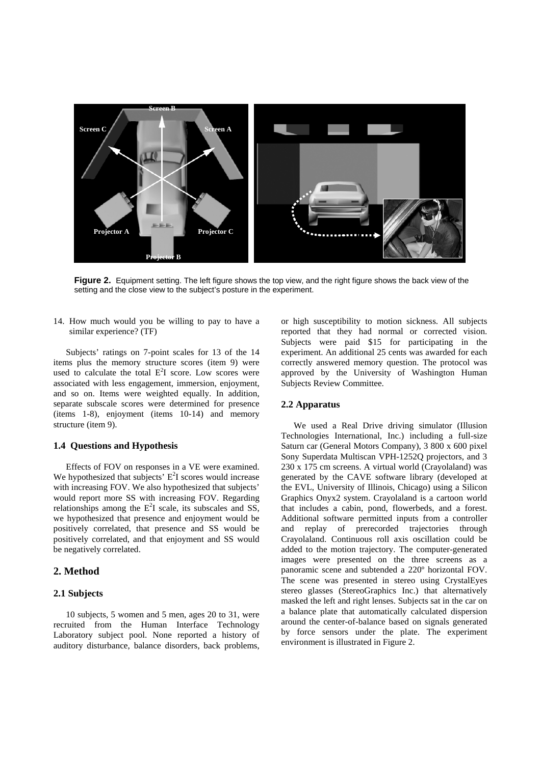

**Figure 2.** Equipment setting. The left figure shows the top view, and the right figure shows the back view of the setting and the close view to the subject's posture in the experiment.

14. How much would you be willing to pay to have a similar experience? (TF)

Subjects' ratings on 7-point scales for 13 of the 14 items plus the memory structure scores (item 9) were used to calculate the total  $E^2I$  score. Low scores were associated with less engagement, immersion, enjoyment, and so on. Items were weighted equally. In addition, separate subscale scores were determined for presence (items 1-8), enjoyment (items 10-14) and memory structure (item 9).

#### **1.4 Questions and Hypothesis**

Effects of FOV on responses in a VE were examined. We hypothesized that subjects'  $E^2I$  scores would increase with increasing FOV. We also hypothesized that subjects' would report more SS with increasing FOV. Regarding relationships among the  $E^2I$  scale, its subscales and SS, we hypothesized that presence and enjoyment would be positively correlated, that presence and SS would be positively correlated, and that enjoyment and SS would be negatively correlated.

# **2. Method**

#### **2.1 Subjects**

10 subjects, 5 women and 5 men, ages 20 to 31, were recruited from the Human Interface Technology Laboratory subject pool. None reported a history of auditory disturbance, balance disorders, back problems,

or high susceptibility to motion sickness. All subjects reported that they had normal or corrected vision. Subjects were paid \$15 for participating in the experiment. An additional 25 cents was awarded for each correctly answered memory question. The protocol was approved by the University of Washington Human Subjects Review Committee.

#### **2.2 Apparatus**

We used a Real Drive driving simulator (Illusion Technologies International, Inc.) including a full-size Saturn car (General Motors Company), 3 800 x 600 pixel Sony Superdata Multiscan VPH-1252Q projectors, and 3 230 x 175 cm screens. A virtual world (Crayolaland) was generated by the CAVE software library (developed at the EVL, University of Illinois, Chicago) using a Silicon Graphics Onyx2 system. Crayolaland is a cartoon world that includes a cabin, pond, flowerbeds, and a forest. Additional software permitted inputs from a controller and replay of prerecorded trajectories through Crayolaland. Continuous roll axis oscillation could be added to the motion trajectory. The computer-generated images were presented on the three screens as a panoramic scene and subtended a 220º horizontal FOV. The scene was presented in stereo using CrystalEyes stereo glasses (StereoGraphics Inc.) that alternatively masked the left and right lenses. Subjects sat in the car on a balance plate that automatically calculated dispersion around the center-of-balance based on signals generated by force sensors under the plate. The experiment environment is illustrated in Figure 2.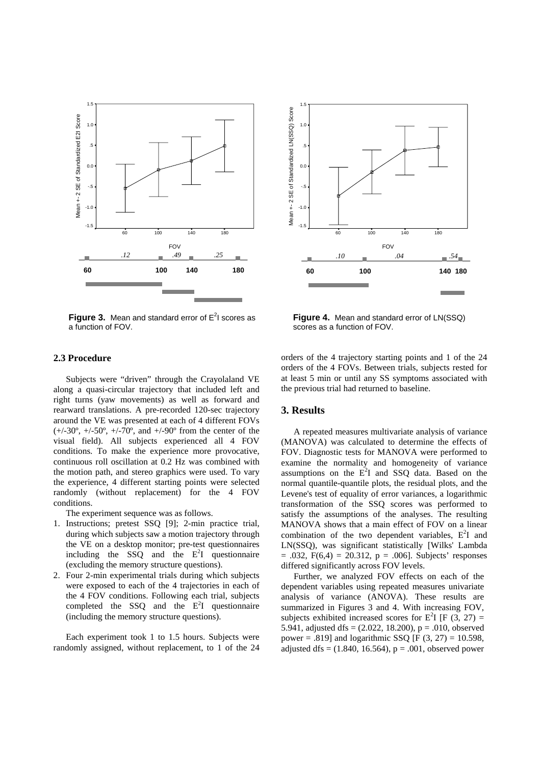

**Figure 3.** Mean and standard error of E<sup>2</sup>I scores as a function of FOV.



Figure 4. Mean and standard error of LN(SSQ) scores as a function of FOV.

#### **2.3 Procedure**

Subjects were "driven" through the Crayolaland VE along a quasi-circular trajectory that included left and right turns (yaw movements) as well as forward and rearward translations. A pre-recorded 120-sec trajectory around the VE was presented at each of 4 different FOVs  $(+/-30^{\circ}, +/-50^{\circ}, +/-70^{\circ})$  and  $+/-90^{\circ}$  from the center of the visual field). All subjects experienced all 4 FOV conditions. To make the experience more provocative, continuous roll oscillation at 0.2 Hz was combined with the motion path, and stereo graphics were used. To vary the experience, 4 different starting points were selected randomly (without replacement) for the 4 FOV conditions.

The experiment sequence was as follows.

- 1. Instructions; pretest SSQ [9]; 2-min practice trial, during which subjects saw a motion trajectory through the VE on a desktop monitor; pre-test questionnaires including the  $SSQ$  and the  $E^2I$  questionnaire (excluding the memory structure questions).
- 2. Four 2-min experimental trials during which subjects were exposed to each of the 4 trajectories in each of the 4 FOV conditions. Following each trial, subjects completed the SSQ and the  $E^2I$  questionnaire (including the memory structure questions).

Each experiment took 1 to 1.5 hours. Subjects were randomly assigned, without replacement, to 1 of the 24 orders of the 4 trajectory starting points and 1 of the 24 orders of the 4 FOVs. Between trials, subjects rested for at least 5 min or until any SS symptoms associated with the previous trial had returned to baseline.

#### **3. Results**

A repeated measures multivariate analysis of variance (MANOVA) was calculated to determine the effects of FOV. Diagnostic tests for MANOVA were performed to examine the normality and homogeneity of variance assumptions on the  $E^2I$  and SSQ data. Based on the normal quantile-quantile plots, the residual plots, and the Levene's test of equality of error variances, a logarithmic transformation of the SSQ scores was performed to satisfy the assumptions of the analyses. The resulting MANOVA shows that a main effect of FOV on a linear combination of the two dependent variables,  $E^2I$  and LN(SSQ), was significant statistically [Wilks' Lambda  $= .032$ , F(6,4)  $= 20.312$ , p  $= .006$ ]. Subjects' responses differed significantly across FOV levels.

Further, we analyzed FOV effects on each of the dependent variables using repeated measures univariate analysis of variance (ANOVA). These results are summarized in Figures 3 and 4. With increasing FOV, subjects exhibited increased scores for  $E^2I$  [F (3, 27) = 5.941, adjusted dfs =  $(2.022, 18.200)$ , p = .010, observed power = .819] and logarithmic SSQ [F  $(3, 27) = 10.598$ , adjusted dfs =  $(1.840, 16.564)$ , p = .001, observed power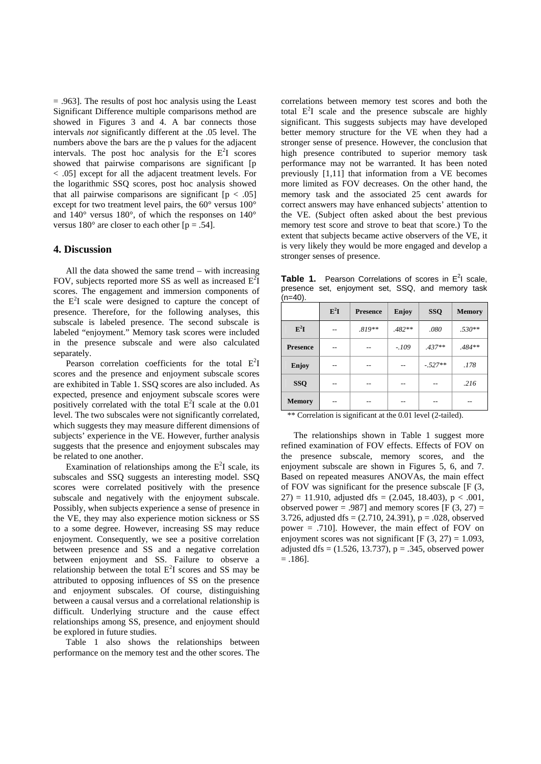= .963]. The results of post hoc analysis using the Least Significant Difference multiple comparisons method are showed in Figures 3 and 4. A bar connects those intervals *not* significantly different at the .05 level. The numbers above the bars are the p values for the adjacent intervals. The post hoc analysis for the  $E^2I$  scores showed that pairwise comparisons are significant [p < .05] except for all the adjacent treatment levels. For the logarithmic SSQ scores, post hoc analysis showed that all pairwise comparisons are significant  $[p < .05]$ except for two treatment level pairs, the 60° versus 100° and 140° versus 180°, of which the responses on 140° versus  $180^\circ$  are closer to each other  $[p = .54]$ .

#### **4. Discussion**

All the data showed the same trend – with increasing FOV, subjects reported more SS as well as increased  $E^2I$ scores. The engagement and immersion components of the  $E<sup>2</sup>I$  scale were designed to capture the concept of presence. Therefore, for the following analyses, this subscale is labeled presence. The second subscale is labeled "enjoyment." Memory task scores were included in the presence subscale and were also calculated separately.

Pearson correlation coefficients for the total  $E^2I$ scores and the presence and enjoyment subscale scores are exhibited in Table 1. SSQ scores are also included. As expected, presence and enjoyment subscale scores were positively correlated with the total  $E^2I$  scale at the 0.01 level. The two subscales were not significantly correlated, which suggests they may measure different dimensions of subjects' experience in the VE. However, further analysis suggests that the presence and enjoyment subscales may be related to one another.

Examination of relationships among the  $E^2I$  scale, its subscales and SSQ suggests an interesting model. SSQ scores were correlated positively with the presence subscale and negatively with the enjoyment subscale. Possibly, when subjects experience a sense of presence in the VE, they may also experience motion sickness or SS to a some degree. However, increasing SS may reduce enjoyment. Consequently, we see a positive correlation between presence and SS and a negative correlation between enjoyment and SS. Failure to observe a relationship between the total  $E^2I$  scores and SS may be attributed to opposing influences of SS on the presence and enjoyment subscales. Of course, distinguishing between a causal versus and a correlational relationship is difficult. Underlying structure and the cause effect relationships among SS, presence, and enjoyment should be explored in future studies.

Table 1 also shows the relationships between performance on the memory test and the other scores. The correlations between memory test scores and both the total  $E^2I$  scale and the presence subscale are highly significant. This suggests subjects may have developed better memory structure for the VE when they had a stronger sense of presence. However, the conclusion that high presence contributed to superior memory task performance may not be warranted. It has been noted previously [1,11] that information from a VE becomes more limited as FOV decreases. On the other hand, the memory task and the associated 25 cent awards for correct answers may have enhanced subjects' attention to the VE. (Subject often asked about the best previous memory test score and strove to beat that score.) To the extent that subjects became active observers of the VE, it is very likely they would be more engaged and develop a stronger senses of presence.

| (n=40).         |                          |                 |          |            |               |
|-----------------|--------------------------|-----------------|----------|------------|---------------|
|                 | $\mathbf{E}^2\mathbf{I}$ | <b>Presence</b> | Enjoy    | <b>SSQ</b> | <b>Memory</b> |
| $E^2I$          |                          | $.819**$        | $.482**$ | .080       | $.530**$      |
| <b>Presence</b> |                          |                 | $-.109$  | $.437**$   | .484**        |
| <b>Enjoy</b>    |                          |                 |          | $-.527**$  | .178          |
| <b>SSQ</b>      |                          |                 |          |            | .216          |
| <b>Memory</b>   |                          |                 |          |            | --            |

Table 1. Pearson Correlations of scores in E<sup>2</sup>I scale, presence set, enjoyment set, SSQ, and memory task  $(n=40)$ .

\*\* Correlation is significant at the 0.01 level (2-tailed).

The relationships shown in Table 1 suggest more refined examination of FOV effects. Effects of FOV on the presence subscale, memory scores, and the enjoyment subscale are shown in Figures 5, 6, and 7. Based on repeated measures ANOVAs, the main effect of FOV was significant for the presence subscale [F (3,  $27$ ) = 11.910, adjusted dfs = (2.045, 18.403), p < .001, observed power = .987] and memory scores  $[F(3, 27) =$ 3.726, adjusted dfs =  $(2.710, 24.391)$ , p = .028, observed power = .710]. However, the main effect of FOV on enjoyment scores was not significant  $[F(3, 27) = 1.093]$ , adjusted dfs =  $(1.526, 13.737)$ , p = .345, observed power  $= 1861$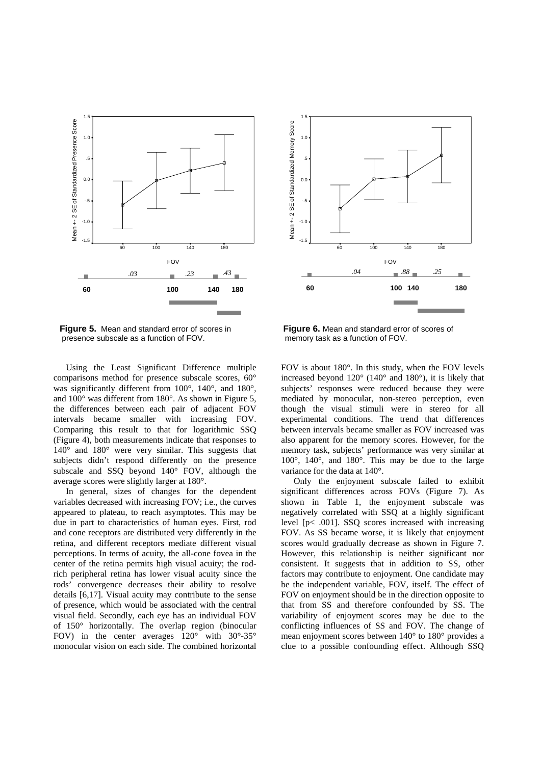

presence subscale as a function of FOV. memory task as a function of FOV.

Using the Least Significant Difference multiple comparisons method for presence subscale scores, 60° was significantly different from 100°, 140°, and 180°, and 100° was different from 180°. As shown in Figure 5, the differences between each pair of adjacent FOV intervals became smaller with increasing FOV. Comparing this result to that for logarithmic SSQ (Figure 4), both measurements indicate that responses to 140° and 180° were very similar. This suggests that subjects didn't respond differently on the presence subscale and SSQ beyond 140° FOV, although the average scores were slightly larger at 180°.

In general, sizes of changes for the dependent variables decreased with increasing FOV; i.e., the curves appeared to plateau, to reach asymptotes. This may be due in part to characteristics of human eyes. First, rod and cone receptors are distributed very differently in the retina, and different receptors mediate different visual perceptions. In terms of acuity, the all-cone fovea in the center of the retina permits high visual acuity; the rodrich peripheral retina has lower visual acuity since the rods' convergence decreases their ability to resolve details [6,17]. Visual acuity may contribute to the sense of presence, which would be associated with the central visual field. Secondly, each eye has an individual FOV of 150° horizontally. The overlap region (binocular FOV) in the center averages 120° with 30°-35° monocular vision on each side. The combined horizontal



**Figure 5.** Mean and standard error of scores in **Figure 6.** Mean and standard error of scores of

FOV is about 180°. In this study, when the FOV levels increased beyond 120° (140° and 180°), it is likely that subjects' responses were reduced because they were mediated by monocular, non-stereo perception, even though the visual stimuli were in stereo for all experimental conditions. The trend that differences between intervals became smaller as FOV increased was also apparent for the memory scores. However, for the memory task, subjects' performance was very similar at 100°, 140°, and 180°. This may be due to the large variance for the data at 140°.

Only the enjoyment subscale failed to exhibit significant differences across FOVs (Figure 7). As shown in Table 1, the enjoyment subscale was negatively correlated with SSQ at a highly significant level [p< .001]. SSQ scores increased with increasing FOV. As SS became worse, it is likely that enjoyment scores would gradually decrease as shown in Figure 7. However, this relationship is neither significant nor consistent. It suggests that in addition to SS, other factors may contribute to enjoyment. One candidate may be the independent variable, FOV, itself. The effect of FOV on enjoyment should be in the direction opposite to that from SS and therefore confounded by SS. The variability of enjoyment scores may be due to the conflicting influences of SS and FOV. The change of mean enjoyment scores between 140° to 180° provides a clue to a possible confounding effect. Although SSQ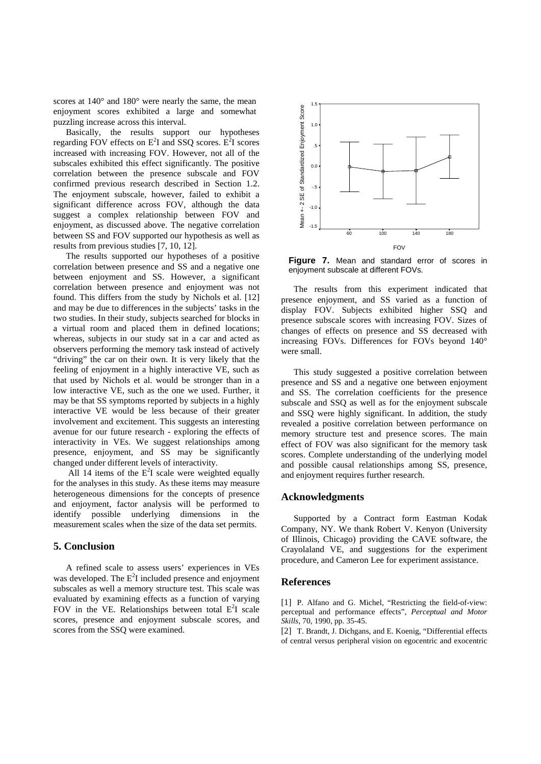scores at  $140^{\circ}$  and  $180^{\circ}$  were nearly the same, the mean enjoyment scores exhibited a large and somewhat puzzling increase across this interval.

Basically, the results support our hypotheses regarding FOV effects on  $E^2I$  and SSQ scores.  $E^2I$  scores increased with increasing FOV. However, not all of the subscales exhibited this effect significantly. The positive correlation between the presence subscale and FOV confirmed previous research described in Section 1.2. The enjoyment subscale, however, failed to exhibit a significant difference across FOV, although the data suggest a complex relationship between FOV and enjoyment, as discussed above. The negative correlation between SS and FOV supported our hypothesis as well as results from previous studies [7, 10, 12].

The results supported our hypotheses of a positive correlation between presence and SS and a negative one between enjoyment and SS. However, a significant correlation between presence and enjoyment was not found. This differs from the study by Nichols et al. [12] and may be due to differences in the subjects' tasks in the two studies. In their study, subjects searched for blocks in a virtual room and placed them in defined locations; whereas, subjects in our study sat in a car and acted as observers performing the memory task instead of actively "driving" the car on their own. It is very likely that the feeling of enjoyment in a highly interactive VE, such as that used by Nichols et al. would be stronger than in a low interactive VE, such as the one we used. Further, it may be that SS symptoms reported by subjects in a highly interactive VE would be less because of their greater involvement and excitement. This suggests an interesting avenue for our future research - exploring the effects of interactivity in VEs. We suggest relationships among presence, enjoyment, and SS may be significantly changed under different levels of interactivity.

All 14 items of the  $E<sup>2</sup>I$  scale were weighted equally for the analyses in this study. As these items may measure heterogeneous dimensions for the concepts of presence and enjoyment, factor analysis will be performed to identify possible underlying dimensions in the measurement scales when the size of the data set permits.

#### **5. Conclusion**

A refined scale to assess users' experiences in VEs was developed. The  $E^2I$  included presence and enjoyment subscales as well a memory structure test. This scale was evaluated by examining effects as a function of varying FOV in the VE. Relationships between total  $E^2I$  scale scores, presence and enjoyment subscale scores, and scores from the SSQ were examined.



**Figure 7.** Mean and standard error of scores in enjoyment subscale at different FOVs.

The results from this experiment indicated that presence enjoyment, and SS varied as a function of display FOV. Subjects exhibited higher SSQ and presence subscale scores with increasing FOV. Sizes of changes of effects on presence and SS decreased with increasing FOVs. Differences for FOVs beyond 140° were small.

This study suggested a positive correlation between presence and SS and a negative one between enjoyment and SS. The correlation coefficients for the presence subscale and SSQ as well as for the enjoyment subscale and SSQ were highly significant. In addition, the study revealed a positive correlation between performance on memory structure test and presence scores. The main effect of FOV was also significant for the memory task scores. Complete understanding of the underlying model and possible causal relationships among SS, presence, and enjoyment requires further research.

#### **Acknowledgments**

Supported by a Contract form Eastman Kodak Company, NY. We thank Robert V. Kenyon (University of Illinois, Chicago) providing the CAVE software, the Crayolaland VE, and suggestions for the experiment procedure, and Cameron Lee for experiment assistance.

#### **References**

[1] P. Alfano and G. Michel, "Restricting the field-of-view: perceptual and performance effects", *Perceptual and Motor Skills*, 70, 1990, pp. 35-45.

[2] T. Brandt, J. Dichgans, and E. Koenig, "Differential effects" of central versus peripheral vision on egocentric and exocentric